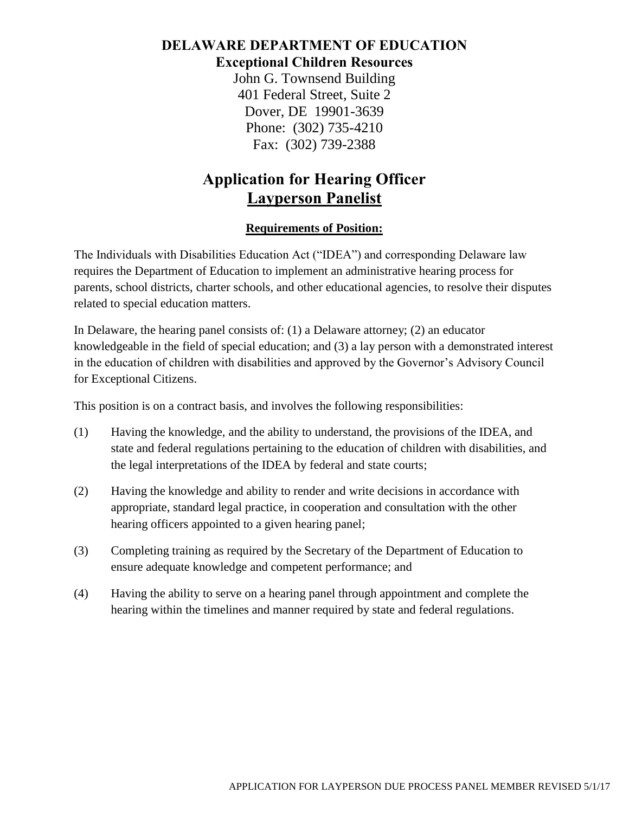## **DELAWARE DEPARTMENT OF EDUCATION Exceptional Children Resources**

John G. Townsend Building 401 Federal Street, Suite 2 Dover, DE 19901-3639 Phone: (302) 735-4210 Fax: (302) 739-2388

## **Application for Hearing Officer Layperson Panelist**

## **Requirements of Position:**

The Individuals with Disabilities Education Act ("IDEA") and corresponding Delaware law requires the Department of Education to implement an administrative hearing process for parents, school districts, charter schools, and other educational agencies, to resolve their disputes related to special education matters.

In Delaware, the hearing panel consists of: (1) a Delaware attorney; (2) an educator knowledgeable in the field of special education; and (3) a lay person with a demonstrated interest in the education of children with disabilities and approved by the Governor's Advisory Council for Exceptional Citizens.

This position is on a contract basis, and involves the following responsibilities:

- (1) Having the knowledge, and the ability to understand, the provisions of the IDEA, and state and federal regulations pertaining to the education of children with disabilities, and the legal interpretations of the IDEA by federal and state courts;
- (2) Having the knowledge and ability to render and write decisions in accordance with appropriate, standard legal practice, in cooperation and consultation with the other hearing officers appointed to a given hearing panel;
- (3) Completing training as required by the Secretary of the Department of Education to ensure adequate knowledge and competent performance; and
- (4) Having the ability to serve on a hearing panel through appointment and complete the hearing within the timelines and manner required by state and federal regulations.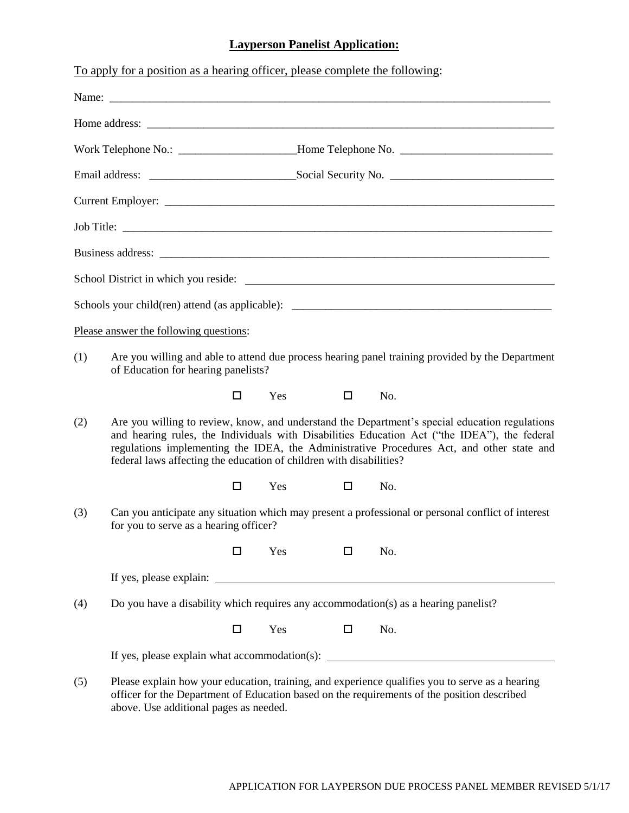## **Layperson Panelist Application:**

|     | To apply for a position as a hearing officer, please complete the following:                                                                                                                                                                                                                                                                                       |        |     |        |     |                                                                                                                                                                                                |  |
|-----|--------------------------------------------------------------------------------------------------------------------------------------------------------------------------------------------------------------------------------------------------------------------------------------------------------------------------------------------------------------------|--------|-----|--------|-----|------------------------------------------------------------------------------------------------------------------------------------------------------------------------------------------------|--|
|     |                                                                                                                                                                                                                                                                                                                                                                    |        |     |        |     |                                                                                                                                                                                                |  |
|     |                                                                                                                                                                                                                                                                                                                                                                    |        |     |        |     |                                                                                                                                                                                                |  |
|     |                                                                                                                                                                                                                                                                                                                                                                    |        |     |        |     |                                                                                                                                                                                                |  |
|     |                                                                                                                                                                                                                                                                                                                                                                    |        |     |        |     |                                                                                                                                                                                                |  |
|     |                                                                                                                                                                                                                                                                                                                                                                    |        |     |        |     |                                                                                                                                                                                                |  |
|     |                                                                                                                                                                                                                                                                                                                                                                    |        |     |        |     |                                                                                                                                                                                                |  |
|     |                                                                                                                                                                                                                                                                                                                                                                    |        |     |        |     |                                                                                                                                                                                                |  |
|     |                                                                                                                                                                                                                                                                                                                                                                    |        |     |        |     |                                                                                                                                                                                                |  |
|     |                                                                                                                                                                                                                                                                                                                                                                    |        |     |        |     |                                                                                                                                                                                                |  |
|     | Please answer the following questions:                                                                                                                                                                                                                                                                                                                             |        |     |        |     |                                                                                                                                                                                                |  |
| (1) | Are you willing and able to attend due process hearing panel training provided by the Department<br>of Education for hearing panelists?                                                                                                                                                                                                                            |        |     |        |     |                                                                                                                                                                                                |  |
|     |                                                                                                                                                                                                                                                                                                                                                                    | □      | Yes | □      | No. |                                                                                                                                                                                                |  |
| (2) | Are you willing to review, know, and understand the Department's special education regulations<br>and hearing rules, the Individuals with Disabilities Education Act ("the IDEA"), the federal<br>regulations implementing the IDEA, the Administrative Procedures Act, and other state and<br>federal laws affecting the education of children with disabilities? |        |     |        |     |                                                                                                                                                                                                |  |
|     |                                                                                                                                                                                                                                                                                                                                                                    | $\Box$ | Yes | $\Box$ | No. |                                                                                                                                                                                                |  |
| (3) | Can you anticipate any situation which may present a professional or personal conflict of interest<br>for you to serve as a hearing officer?                                                                                                                                                                                                                       |        |     |        |     |                                                                                                                                                                                                |  |
|     |                                                                                                                                                                                                                                                                                                                                                                    | □      | Yes | □      | No. |                                                                                                                                                                                                |  |
|     |                                                                                                                                                                                                                                                                                                                                                                    |        |     |        |     |                                                                                                                                                                                                |  |
| (4) | Do you have a disability which requires any accommodation( $s$ ) as a hearing panelist?                                                                                                                                                                                                                                                                            |        |     |        |     |                                                                                                                                                                                                |  |
|     |                                                                                                                                                                                                                                                                                                                                                                    | □      | Yes | □      | No. |                                                                                                                                                                                                |  |
|     | If yes, please explain what accommodation(s): $\qquad \qquad$                                                                                                                                                                                                                                                                                                      |        |     |        |     |                                                                                                                                                                                                |  |
| (5) | above. Use additional pages as needed.                                                                                                                                                                                                                                                                                                                             |        |     |        |     | Please explain how your education, training, and experience qualifies you to serve as a hearing<br>officer for the Department of Education based on the requirements of the position described |  |